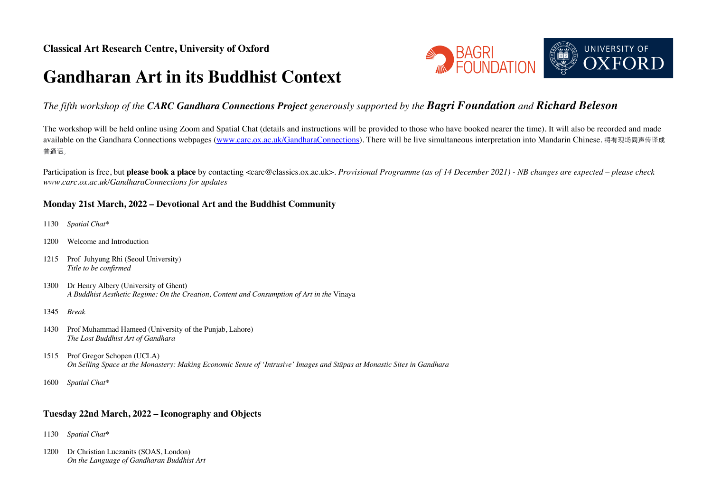# **Gandharan Art in its Buddhist Context**



## *The fifth workshop of the CARC Gandhara Connections Project generously supported by the Bagri Foundation and Richard Beleson*

The workshop will be held online using Zoom and Spatial Chat (details and instructions will be provided to those who have booked nearer the time). It will also be recorded and made available on the Gandhara Connections webpages (www.carc.ox.ac.uk/GandharaConnections). There will be live simultaneous interpretation into Mandarin Chinese. 将有现场同声传译成 普通话。

Participation is free, but please book a place by contacting <carc@classics.ox.ac.uk>. Provisional Programme (as of 14 December 2021) - NB changes are expected – please check *www.carc.ox.ac.uk/GandharaConnections for updates*

#### **Monday 21st March, 2022 – Devotional Art and the Buddhist Community**

- 1130 *Spatial Chat\**
- 1200 Welcome and Introduction
- 1215 Prof Juhyung Rhi (Seoul University) *Title to be confirmed*
- 1300 Dr Henry Albery (University of Ghent) *A Buddhist Aesthetic Regime: On the Creation, Content and Consumption of Art in the* Vinaya
- 1345 *Break*
- 1430 Prof Muhammad Hameed (University of the Punjab, Lahore) *The Lost Buddhist Art of Gandhara*
- 1515 Prof Gregor Schopen (UCLA) *On Selling Space at the Monastery: Making Economic Sense of 'Intrusive' Images and Stūpas at Monastic Sites in Gandhara*
- 1600 *Spatial Chat\**

### **Tuesday 22nd March, 2022 – Iconography and Objects**

- 1130 *Spatial Chat\**
- 1200 Dr Christian Luczanits (SOAS, London) *On the Language of Gandharan Buddhist Art*